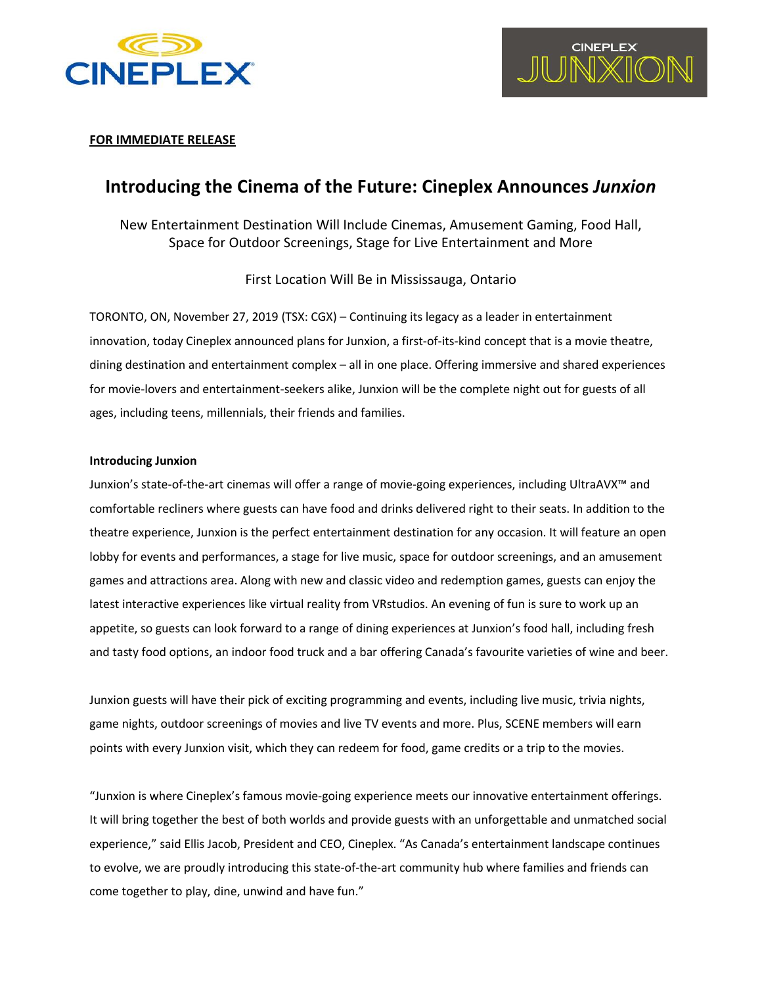



### **FOR IMMEDIATE RELEASE**

# **Introducing the Cinema of the Future: Cineplex Announces** *Junxion*

## New Entertainment Destination Will Include Cinemas, Amusement Gaming, Food Hall, Space for Outdoor Screenings, Stage for Live Entertainment and More

First Location Will Be in Mississauga, Ontario

TORONTO, ON, November 27, 2019 (TSX: CGX) – Continuing its legacy as a leader in entertainment innovation, today Cineplex announced plans for Junxion, a first-of-its-kind concept that is a movie theatre, dining destination and entertainment complex – all in one place. Offering immersive and shared experiences for movie-lovers and entertainment-seekers alike, Junxion will be the complete night out for guests of all ages, including teens, millennials, their friends and families.

### **Introducing Junxion**

Junxion's state-of-the-art cinemas will offer a range of movie-going experiences, including UltraAVX™ and comfortable recliners where guests can have food and drinks delivered right to their seats. In addition to the theatre experience, Junxion is the perfect entertainment destination for any occasion. It will feature an open lobby for events and performances, a stage for live music, space for outdoor screenings, and an amusement games and attractions area. Along with new and classic video and redemption games, guests can enjoy the latest interactive experiences like virtual reality from VRstudios. An evening of fun is sure to work up an appetite, so guests can look forward to a range of dining experiences at Junxion's food hall, including fresh and tasty food options, an indoor food truck and a bar offering Canada's favourite varieties of wine and beer.

Junxion guests will have their pick of exciting programming and events, including live music, trivia nights, game nights, outdoor screenings of movies and live TV events and more. Plus, SCENE members will earn points with every Junxion visit, which they can redeem for food, game credits or a trip to the movies.

"Junxion is where Cineplex's famous movie-going experience meets our innovative entertainment offerings. It will bring together the best of both worlds and provide guests with an unforgettable and unmatched social experience," said Ellis Jacob, President and CEO, Cineplex. "As Canada's entertainment landscape continues to evolve, we are proudly introducing this state-of-the-art community hub where families and friends can come together to play, dine, unwind and have fun."